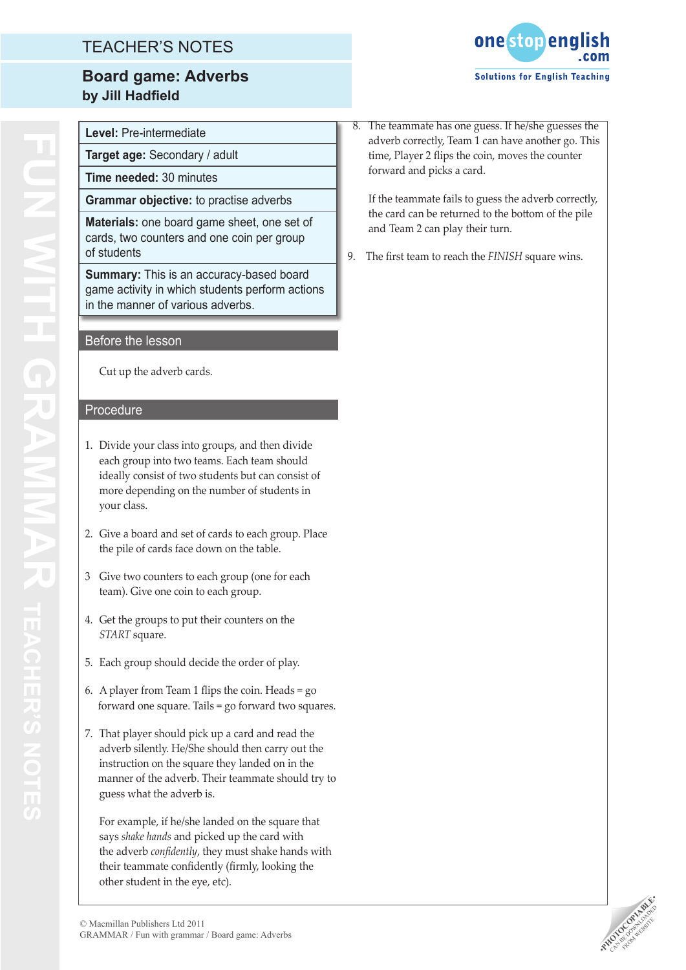# TEACHER'S NOTES

## **Board game: Adverbs by Jill Hadfield**



**Level:** Pre-intermediate

**Target age:** Secondary / adult

**Time needed:** 30 minutes

**Grammar objective:** to practise adverbs

**Materials:** one board game sheet, one set of cards, two counters and one coin per group of students

**Summary:** This is an accuracy-based board game activity in which students perform actions in the manner of various adverbs.

### Before the lesson

Cut up the adverb cards.

#### Procedure

- 1. Divide your class into groups, and then divide each group into two teams. Each team should ideally consist of two students but can consist of more depending on the number of students in your class.
- 2. Give a board and set of cards to each group. Place the pile of cards face down on the table.
- 3 Give two counters to each group (one for each team). Give one coin to each group.
- 4. Get the groups to put their counters on the *START* square.
- 5. Each group should decide the order of play.
- 6. A player from Team 1 flips the coin. Heads = go forward one square. Tails = go forward two squares.
- 7. That player should pick up a card and read the adverb silently. He/She should then carry out the instruction on the square they landed on in the manner of the adverb. Their teammate should try to guess what the adverb is.

For example, if he/she landed on the square that says *shake hands* and picked up the card with the adverb *confidently*, they must shake hands with their teammate confidently (firmly, looking the other student in the eye, etc).

 8. The teammate has one guess. If he/she guesses the adverb correctly, Team 1 can have another go. This time, Player 2 flips the coin, moves the counter forward and picks a card.

If the teammate fails to guess the adverb correctly, the card can be returned to the bottom of the pile and Team 2 can play their turn.

9. The first team to reach the *FINISH* square wins.

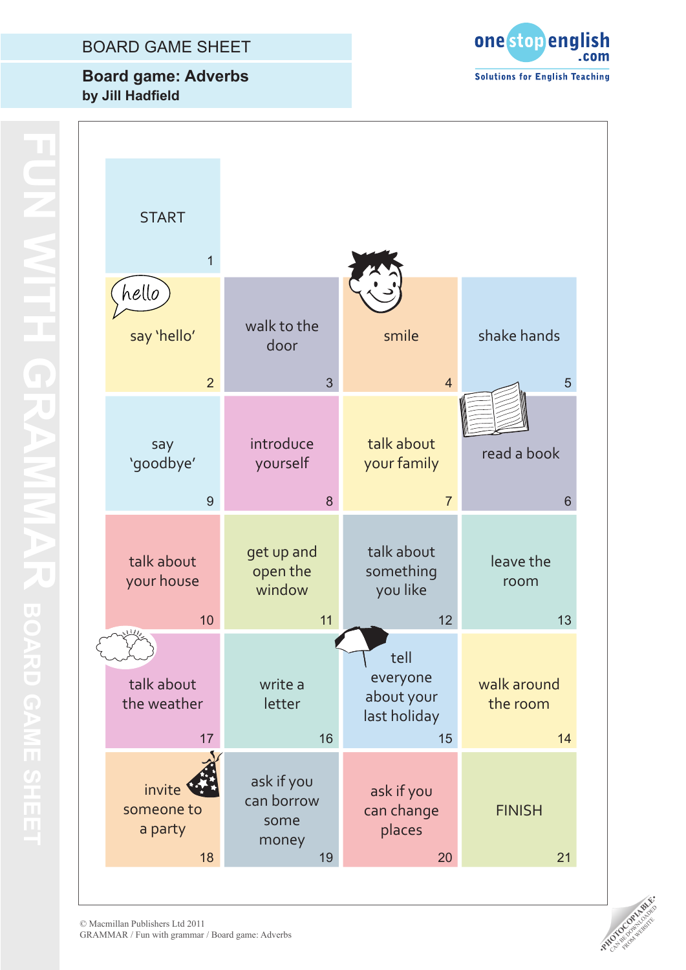### BOARD GAME SHEET

## **Board game: Adverbs by Jill Hadfield**